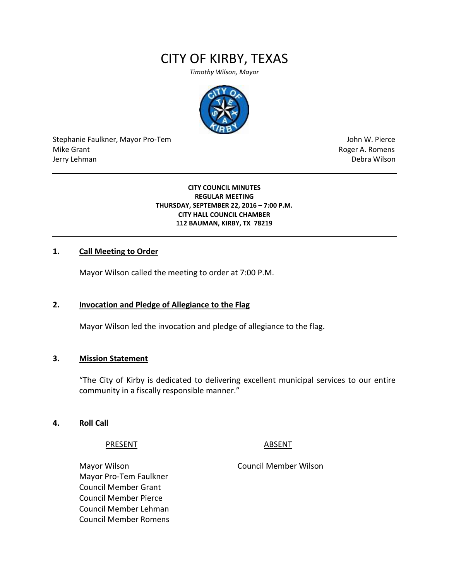# CITY OF KIRBY, TEXAS

*Timothy Wilson, Mayor*



Stephanie Faulkner, Mayor Pro-Tem John W. Pierce Mike Grant **Mike Grant** Roger A. Romens **Contract A. Romens Roger A. Romens** Jerry Lehman Debra Wilson

#### **CITY COUNCIL MINUTES REGULAR MEETING THURSDAY, SEPTEMBER 22, 2016 – 7:00 P.M. CITY HALL COUNCIL CHAMBER 112 BAUMAN, KIRBY, TX 78219**

### **1. Call Meeting to Order**

Mayor Wilson called the meeting to order at 7:00 P.M.

### **2. Invocation and Pledge of Allegiance to the Flag**

Mayor Wilson led the invocation and pledge of allegiance to the flag.

#### **3. Mission Statement**

"The City of Kirby is dedicated to delivering excellent municipal services to our entire community in a fiscally responsible manner."

#### **4. Roll Call**

PRESENT ABSENT

Mayor Wilson Council Member Wilson Mayor Pro-Tem Faulkner Council Member Grant Council Member Pierce Council Member Lehman Council Member Romens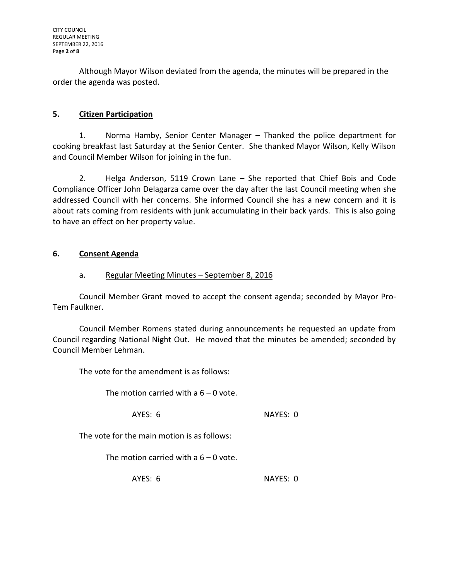Although Mayor Wilson deviated from the agenda, the minutes will be prepared in the order the agenda was posted.

# **5. Citizen Participation**

1. Norma Hamby, Senior Center Manager – Thanked the police department for cooking breakfast last Saturday at the Senior Center. She thanked Mayor Wilson, Kelly Wilson and Council Member Wilson for joining in the fun.

2. Helga Anderson, 5119 Crown Lane – She reported that Chief Bois and Code Compliance Officer John Delagarza came over the day after the last Council meeting when she addressed Council with her concerns. She informed Council she has a new concern and it is about rats coming from residents with junk accumulating in their back yards. This is also going to have an effect on her property value.

# **6. Consent Agenda**

# a. Regular Meeting Minutes – September 8, 2016

Council Member Grant moved to accept the consent agenda; seconded by Mayor Pro-Tem Faulkner.

Council Member Romens stated during announcements he requested an update from Council regarding National Night Out. He moved that the minutes be amended; seconded by Council Member Lehman.

The vote for the amendment is as follows:

The motion carried with a  $6 - 0$  vote.

AYES: 6 NAYES: 0

The vote for the main motion is as follows:

The motion carried with a  $6 - 0$  vote.

AYES: 6 NAYES: 0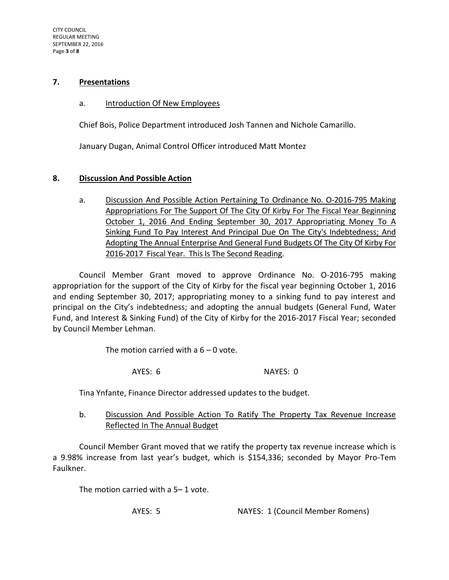#### **7. Presentations**

#### a. Introduction Of New Employees

Chief Bois, Police Department introduced Josh Tannen and Nichole Camarillo.

January Dugan, Animal Control Officer introduced Matt Montez

### **8. Discussion And Possible Action**

a. Discussion And Possible Action Pertaining To Ordinance No. O-2016-795 Making Appropriations For The Support Of The City Of Kirby For The Fiscal Year Beginning October 1, 2016 And Ending September 30, 2017 Appropriating Money To A Sinking Fund To Pay Interest And Principal Due On The City's Indebtedness; And Adopting The Annual Enterprise And General Fund Budgets Of The City Of Kirby For 2016-2017 Fiscal Year. This Is The Second Reading.

Council Member Grant moved to approve Ordinance No. O-2016-795 making appropriation for the support of the City of Kirby for the fiscal year beginning October 1, 2016 and ending September 30, 2017; appropriating money to a sinking fund to pay interest and principal on the City's indebtedness; and adopting the annual budgets (General Fund, Water Fund, and Interest & Sinking Fund) of the City of Kirby for the 2016-2017 Fiscal Year; seconded by Council Member Lehman.

The motion carried with a  $6 - 0$  vote.

AYES: 6 NAYES: 0

Tina Ynfante, Finance Director addressed updates to the budget.

b. Discussion And Possible Action To Ratify The Property Tax Revenue Increase Reflected In The Annual Budget

Council Member Grant moved that we ratify the property tax revenue increase which is a 9.98% increase from last year's budget, which is \$154,336; seconded by Mayor Pro-Tem Faulkner.

The motion carried with a 5– 1 vote.

AYES: 5 NAYES: 1 (Council Member Romens)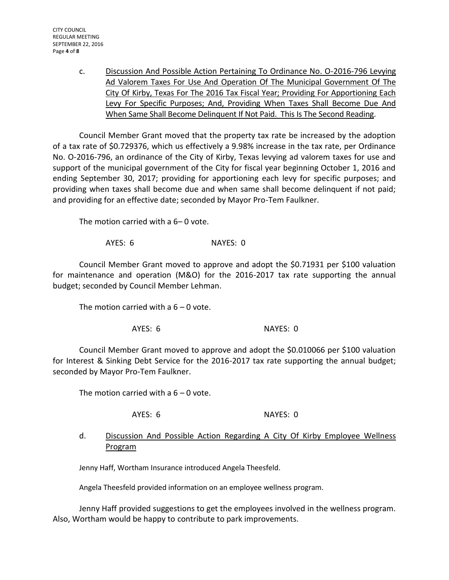c. Discussion And Possible Action Pertaining To Ordinance No. O-2016-796 Levying Ad Valorem Taxes For Use And Operation Of The Municipal Government Of The City Of Kirby, Texas For The 2016 Tax Fiscal Year; Providing For Apportioning Each Levy For Specific Purposes; And, Providing When Taxes Shall Become Due And When Same Shall Become Delinquent If Not Paid. This Is The Second Reading.

Council Member Grant moved that the property tax rate be increased by the adoption of a tax rate of \$0.729376, which us effectively a 9.98% increase in the tax rate, per Ordinance No. O-2016-796, an ordinance of the City of Kirby, Texas levying ad valorem taxes for use and support of the municipal government of the City for fiscal year beginning October 1, 2016 and ending September 30, 2017; providing for apportioning each levy for specific purposes; and providing when taxes shall become due and when same shall become delinquent if not paid; and providing for an effective date; seconded by Mayor Pro-Tem Faulkner.

The motion carried with a 6– 0 vote.

AYES: 6 NAYES: 0

Council Member Grant moved to approve and adopt the \$0.71931 per \$100 valuation for maintenance and operation (M&O) for the 2016-2017 tax rate supporting the annual budget; seconded by Council Member Lehman.

The motion carried with a  $6 - 0$  vote.

AYES: 6 NAYES: 0

Council Member Grant moved to approve and adopt the \$0.010066 per \$100 valuation for Interest & Sinking Debt Service for the 2016-2017 tax rate supporting the annual budget; seconded by Mayor Pro-Tem Faulkner.

The motion carried with a  $6 - 0$  vote.

AYES: 6 NAYES: 0

# d. Discussion And Possible Action Regarding A City Of Kirby Employee Wellness Program

Jenny Haff, Wortham Insurance introduced Angela Theesfeld.

Angela Theesfeld provided information on an employee wellness program.

Jenny Haff provided suggestions to get the employees involved in the wellness program. Also, Wortham would be happy to contribute to park improvements.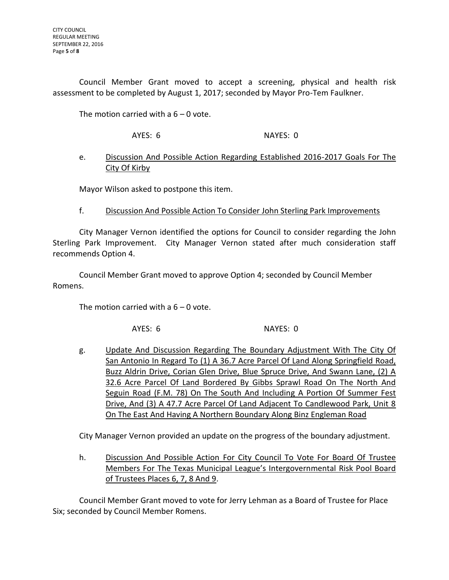Council Member Grant moved to accept a screening, physical and health risk assessment to be completed by August 1, 2017; seconded by Mayor Pro-Tem Faulkner.

The motion carried with a  $6 - 0$  vote.

AYES: 6 NAYES: 0

# e. Discussion And Possible Action Regarding Established 2016-2017 Goals For The City Of Kirby

Mayor Wilson asked to postpone this item.

f. Discussion And Possible Action To Consider John Sterling Park Improvements

City Manager Vernon identified the options for Council to consider regarding the John Sterling Park Improvement. City Manager Vernon stated after much consideration staff recommends Option 4.

Council Member Grant moved to approve Option 4; seconded by Council Member Romens.

The motion carried with a  $6 - 0$  vote.

AYES: 6 NAYES: 0

g. Update And Discussion Regarding The Boundary Adjustment With The City Of San Antonio In Regard To (1) A 36.7 Acre Parcel Of Land Along Springfield Road, Buzz Aldrin Drive, Corian Glen Drive, Blue Spruce Drive, And Swann Lane, (2) A 32.6 Acre Parcel Of Land Bordered By Gibbs Sprawl Road On The North And Seguin Road (F.M. 78) On The South And Including A Portion Of Summer Fest Drive, And (3) A 47.7 Acre Parcel Of Land Adjacent To Candlewood Park, Unit 8 On The East And Having A Northern Boundary Along Binz Engleman Road

City Manager Vernon provided an update on the progress of the boundary adjustment.

h. Discussion And Possible Action For City Council To Vote For Board Of Trustee Members For The Texas Municipal League's Intergovernmental Risk Pool Board of Trustees Places 6, 7, 8 And 9.

Council Member Grant moved to vote for Jerry Lehman as a Board of Trustee for Place Six; seconded by Council Member Romens.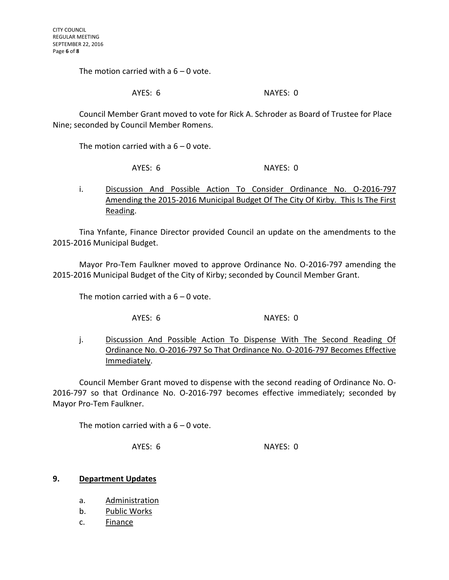The motion carried with a  $6 - 0$  vote.

### AYES: 6 NAYES: 0

Council Member Grant moved to vote for Rick A. Schroder as Board of Trustee for Place Nine; seconded by Council Member Romens.

The motion carried with a  $6 - 0$  vote.

AYES: 6 NAYES: 0

i. Discussion And Possible Action To Consider Ordinance No. 0-2016-797 Amending the 2015-2016 Municipal Budget Of The City Of Kirby. This Is The First Reading.

Tina Ynfante, Finance Director provided Council an update on the amendments to the 2015-2016 Municipal Budget.

Mayor Pro-Tem Faulkner moved to approve Ordinance No. O-2016-797 amending the 2015-2016 Municipal Budget of the City of Kirby; seconded by Council Member Grant.

The motion carried with a  $6 - 0$  vote.

AYES: 6 NAYES: 0

j. Discussion And Possible Action To Dispense With The Second Reading Of Ordinance No. O-2016-797 So That Ordinance No. O-2016-797 Becomes Effective Immediately.

Council Member Grant moved to dispense with the second reading of Ordinance No. O-2016-797 so that Ordinance No. O-2016-797 becomes effective immediately; seconded by Mayor Pro-Tem Faulkner.

The motion carried with a  $6 - 0$  vote.

AYES: 6 NAYES: 0

### **9. Department Updates**

- a. Administration
- b. Public Works
- c. Finance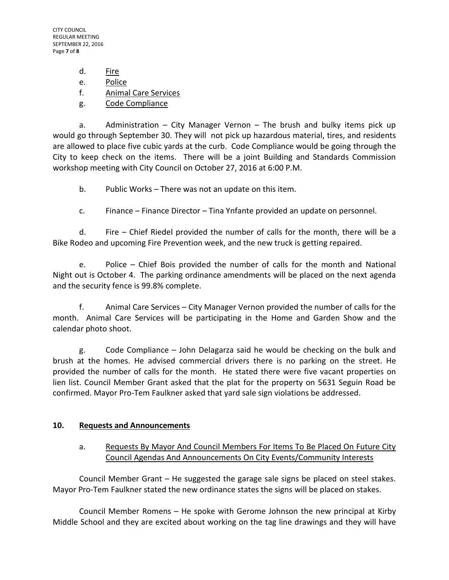CITY COUNCIL REGULAR MEETING SEPTEMBER 22, 2016 Page **7** of **8**

d. Fire

e. Police

f. Animal Care Services

g. Code Compliance

a. Administration – City Manager Vernon – The brush and bulky items pick up would go through September 30. They will not pick up hazardous material, tires, and residents are allowed to place five cubic yards at the curb. Code Compliance would be going through the City to keep check on the items. There will be a joint Building and Standards Commission workshop meeting with City Council on October 27, 2016 at 6:00 P.M.

b. Public Works – There was not an update on this item.

c. Finance – Finance Director – Tina Ynfante provided an update on personnel.

d. Fire – Chief Riedel provided the number of calls for the month, there will be a Bike Rodeo and upcoming Fire Prevention week, and the new truck is getting repaired.

e. Police – Chief Bois provided the number of calls for the month and National Night out is October 4. The parking ordinance amendments will be placed on the next agenda and the security fence is 99.8% complete.

f. Animal Care Services – City Manager Vernon provided the number of calls for the month. Animal Care Services will be participating in the Home and Garden Show and the calendar photo shoot.

g. Code Compliance – John Delagarza said he would be checking on the bulk and brush at the homes. He advised commercial drivers there is no parking on the street. He provided the number of calls for the month. He stated there were five vacant properties on lien list. Council Member Grant asked that the plat for the property on 5631 Seguin Road be confirmed. Mayor Pro-Tem Faulkner asked that yard sale sign violations be addressed.

# **10. Requests and Announcements**

# a. Requests By Mayor And Council Members For Items To Be Placed On Future City Council Agendas And Announcements On City Events/Community Interests

Council Member Grant – He suggested the garage sale signs be placed on steel stakes. Mayor Pro-Tem Faulkner stated the new ordinance states the signs will be placed on stakes.

Council Member Romens – He spoke with Gerome Johnson the new principal at Kirby Middle School and they are excited about working on the tag line drawings and they will have